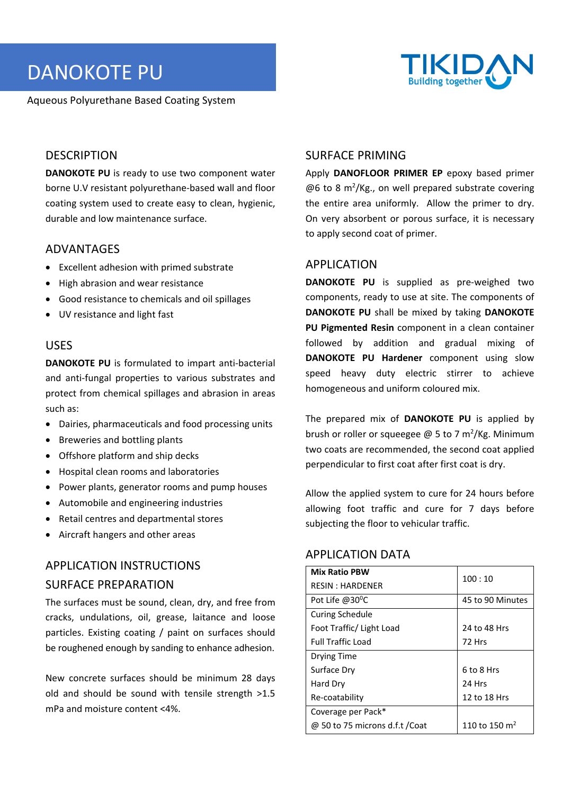# DANOKOTE PU

Aqueous Polyurethane Based Coating System



#### **DESCRIPTION**

**DANOKOTE PU** is ready to use two component water borne U.V resistant polyurethane‐based wall and floor coating system used to create easy to clean, hygienic, durable and low maintenance surface.

#### ADVANTAGES

- Excellent adhesion with primed substrate
- High abrasion and wear resistance
- Good resistance to chemicals and oil spillages
- UV resistance and light fast

#### USES

**DANOKOTE PU** is formulated to impart anti‐bacterial and anti-fungal properties to various substrates and protect from chemical spillages and abrasion in areas such as:

- Dairies, pharmaceuticals and food processing units
- Breweries and bottling plants
- Offshore platform and ship decks
- Hospital clean rooms and laboratories
- Power plants, generator rooms and pump houses
- Automobile and engineering industries
- Retail centres and departmental stores
- Aircraft hangers and other areas

## APPLICATION INSTRUCTIONS SURFACE PREPARATION

The surfaces must be sound, clean, dry, and free from cracks, undulations, oil, grease, laitance and loose particles. Existing coating / paint on surfaces should be roughened enough by sanding to enhance adhesion.

New concrete surfaces should be minimum 28 days old and should be sound with tensile strength >1.5 mPa and moisture content <4%.

#### SURFACE PRIMING

Apply **DANOFLOOR PRIMER EP** epoxy based primer @6 to 8 m<sup>2</sup>/Kg., on well prepared substrate covering the entire area uniformly. Allow the primer to dry. On very absorbent or porous surface, it is necessary to apply second coat of primer.

#### APPLICATION

DANOKOTE PU is supplied as pre-weighed two components, ready to use at site. The components of **DANOKOTE PU** shall be mixed by taking **DANOKOTE PU Pigmented Resin** component in a clean container followed by addition and gradual mixing of **DANOKOTE PU Hardener** component using slow speed heavy duty electric stirrer to achieve homogeneous and uniform coloured mix.

The prepared mix of **DANOKOTE PU**  is applied by brush or roller or squeegee  $\omega$  5 to 7 m<sup>2</sup>/Kg. Minimum two coats are recommended, the second coat applied perpendicular to first coat after first coat is dry.

Allow the applied system to cure for 24 hours before allowing foot traffic and cure for 7 days before subjecting the floor to vehicular traffic.

#### APPLICATION DATA

| <b>Mix Ratio PBW</b>           | 100:10                    |  |
|--------------------------------|---------------------------|--|
| <b>RESIN: HARDENER</b>         |                           |  |
| Pot Life $@30^{\circ}$ C       | 45 to 90 Minutes          |  |
| <b>Curing Schedule</b>         |                           |  |
| Foot Traffic/ Light Load       | 24 to 48 Hrs              |  |
| <b>Full Traffic Load</b>       | 72 Hrs                    |  |
| Drying Time                    |                           |  |
| Surface Dry                    | 6 to 8 Hrs                |  |
| Hard Dry                       | 24 Hrs                    |  |
| Re-coatability                 | 12 to 18 Hrs              |  |
| Coverage per Pack*             |                           |  |
| @ 50 to 75 microns d.f.t /Coat | 110 to 150 m <sup>2</sup> |  |